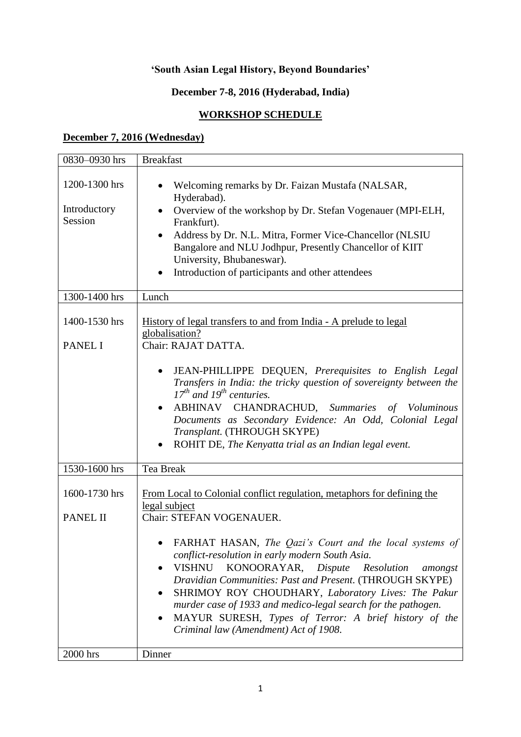# **'South Asian Legal History, Beyond Boundaries'**

## **December 7-8, 2016 (Hyderabad, India)**

## **WORKSHOP SCHEDULE**

### **December 7, 2016 (Wednesday)**

| 0830-0930 hrs                            | <b>Breakfast</b>                                                                                                                                                                                                                                                                                                                                                                                                                                                                         |
|------------------------------------------|------------------------------------------------------------------------------------------------------------------------------------------------------------------------------------------------------------------------------------------------------------------------------------------------------------------------------------------------------------------------------------------------------------------------------------------------------------------------------------------|
| 1200-1300 hrs<br>Introductory<br>Session | Welcoming remarks by Dr. Faizan Mustafa (NALSAR,<br>Hyderabad).<br>Overview of the workshop by Dr. Stefan Vogenauer (MPI-ELH,<br>Frankfurt).<br>Address by Dr. N.L. Mitra, Former Vice-Chancellor (NLSIU)<br>Bangalore and NLU Jodhpur, Presently Chancellor of KIIT<br>University, Bhubaneswar).<br>Introduction of participants and other attendees                                                                                                                                    |
| 1300-1400 hrs                            | Lunch                                                                                                                                                                                                                                                                                                                                                                                                                                                                                    |
| 1400-1530 hrs<br><b>PANEL I</b>          | History of legal transfers to and from India - A prelude to legal<br>globalisation?<br>Chair: RAJAT DATTA.                                                                                                                                                                                                                                                                                                                                                                               |
|                                          | JEAN-PHILLIPPE DEQUEN, Prerequisites to English Legal<br>Transfers in India: the tricky question of sovereignty between the<br>$17^{th}$ and $19^{th}$ centuries.<br>ABHINAV CHANDRACHUD, Summaries of Voluminous<br>٠<br>Documents as Secondary Evidence: An Odd, Colonial Legal<br>Transplant. (THROUGH SKYPE)<br>ROHIT DE, The Kenyatta trial as an Indian legal event.                                                                                                               |
| 1530-1600 hrs                            | Tea Break                                                                                                                                                                                                                                                                                                                                                                                                                                                                                |
| 1600-1730 hrs<br>PANEL II                | From Local to Colonial conflict regulation, metaphors for defining the<br>legal subject<br>Chair: STEFAN VOGENAUER.<br>FARHAT HASAN, The Qazi's Court and the local systems of<br>conflict-resolution in early modern South Asia.<br><b>VISHNU</b><br>KONOORAYAR,<br>Dispute<br>Resolution<br>amongst<br>Dravidian Communities: Past and Present. (THROUGH SKYPE)<br>SHRIMOY ROY CHOUDHARY, Laboratory Lives: The Pakur<br>murder case of 1933 and medico-legal search for the pathogen. |
| 2000 hrs                                 | MAYUR SURESH, Types of Terror: A brief history of the<br>$\bullet$<br>Criminal law (Amendment) Act of 1908.<br>Dinner                                                                                                                                                                                                                                                                                                                                                                    |